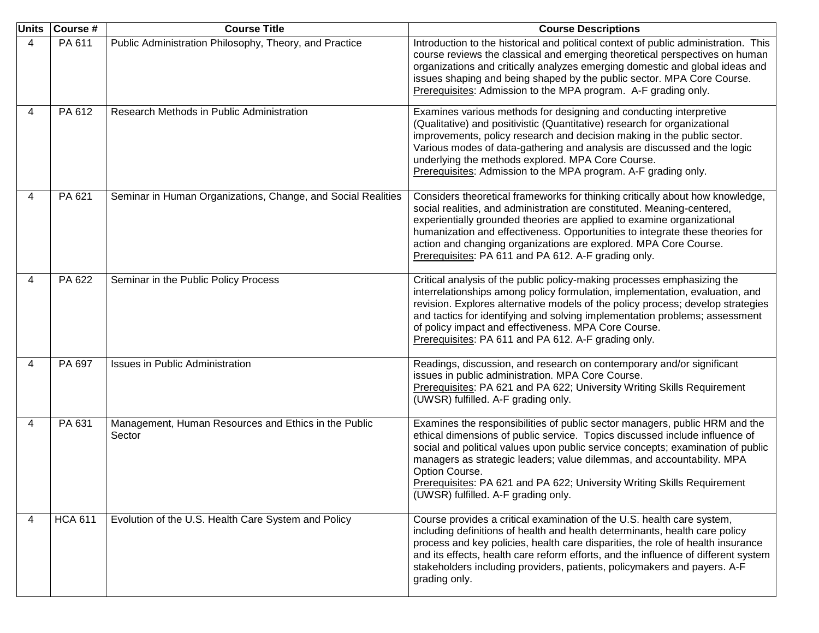|   | Units Course # | <b>Course Title</b>                                            | <b>Course Descriptions</b>                                                                                                                                                                                                                                                                                                                                                                                                                                  |
|---|----------------|----------------------------------------------------------------|-------------------------------------------------------------------------------------------------------------------------------------------------------------------------------------------------------------------------------------------------------------------------------------------------------------------------------------------------------------------------------------------------------------------------------------------------------------|
| 4 | PA 611         | Public Administration Philosophy, Theory, and Practice         | Introduction to the historical and political context of public administration. This<br>course reviews the classical and emerging theoretical perspectives on human<br>organizations and critically analyzes emerging domestic and global ideas and<br>issues shaping and being shaped by the public sector. MPA Core Course.<br>Prerequisites: Admission to the MPA program. A-F grading only.                                                              |
| 4 | PA 612         | Research Methods in Public Administration                      | Examines various methods for designing and conducting interpretive<br>(Qualitative) and positivistic (Quantitative) research for organizational<br>improvements, policy research and decision making in the public sector.<br>Various modes of data-gathering and analysis are discussed and the logic<br>underlying the methods explored. MPA Core Course.<br>Prerequisites: Admission to the MPA program. A-F grading only.                               |
| 4 | PA 621         | Seminar in Human Organizations, Change, and Social Realities   | Considers theoretical frameworks for thinking critically about how knowledge,<br>social realities, and administration are constituted. Meaning-centered,<br>experientially grounded theories are applied to examine organizational<br>humanization and effectiveness. Opportunities to integrate these theories for<br>action and changing organizations are explored. MPA Core Course.<br>Prerequisites: PA 611 and PA 612. A-F grading only.              |
| 4 | PA 622         | Seminar in the Public Policy Process                           | Critical analysis of the public policy-making processes emphasizing the<br>interrelationships among policy formulation, implementation, evaluation, and<br>revision. Explores alternative models of the policy process; develop strategies<br>and tactics for identifying and solving implementation problems; assessment<br>of policy impact and effectiveness. MPA Core Course.<br>Prerequisites: PA 611 and PA 612. A-F grading only.                    |
| 4 | PA 697         | <b>Issues in Public Administration</b>                         | Readings, discussion, and research on contemporary and/or significant<br>issues in public administration. MPA Core Course.<br>Prerequisites: PA 621 and PA 622; University Writing Skills Requirement<br>(UWSR) fulfilled. A-F grading only.                                                                                                                                                                                                                |
| 4 | PA 631         | Management, Human Resources and Ethics in the Public<br>Sector | Examines the responsibilities of public sector managers, public HRM and the<br>ethical dimensions of public service. Topics discussed include influence of<br>social and political values upon public service concepts; examination of public<br>managers as strategic leaders; value dilemmas, and accountability. MPA<br>Option Course.<br>Prerequisites: PA 621 and PA 622; University Writing Skills Requirement<br>(UWSR) fulfilled. A-F grading only. |
| 4 | <b>HCA 611</b> | Evolution of the U.S. Health Care System and Policy            | Course provides a critical examination of the U.S. health care system,<br>including definitions of health and health determinants, health care policy<br>process and key policies, health care disparities, the role of health insurance<br>and its effects, health care reform efforts, and the influence of different system<br>stakeholders including providers, patients, policymakers and payers. A-F<br>grading only.                                 |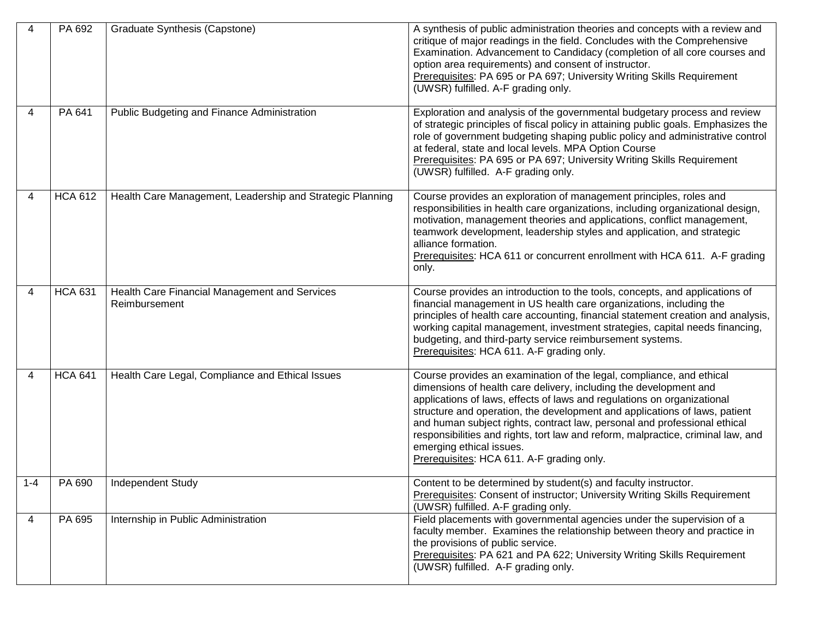| 4   | PA 692         | Graduate Synthesis (Capstone)                                  | A synthesis of public administration theories and concepts with a review and<br>critique of major readings in the field. Concludes with the Comprehensive<br>Examination. Advancement to Candidacy (completion of all core courses and<br>option area requirements) and consent of instructor.<br>Prerequisites: PA 695 or PA 697; University Writing Skills Requirement<br>(UWSR) fulfilled. A-F grading only.                                                                                                                              |
|-----|----------------|----------------------------------------------------------------|----------------------------------------------------------------------------------------------------------------------------------------------------------------------------------------------------------------------------------------------------------------------------------------------------------------------------------------------------------------------------------------------------------------------------------------------------------------------------------------------------------------------------------------------|
| 4   | PA 641         | Public Budgeting and Finance Administration                    | Exploration and analysis of the governmental budgetary process and review<br>of strategic principles of fiscal policy in attaining public goals. Emphasizes the<br>role of government budgeting shaping public policy and administrative control<br>at federal, state and local levels. MPA Option Course<br>Prerequisites: PA 695 or PA 697; University Writing Skills Requirement<br>(UWSR) fulfilled. A-F grading only.                                                                                                                   |
| 4   | <b>HCA 612</b> | Health Care Management, Leadership and Strategic Planning      | Course provides an exploration of management principles, roles and<br>responsibilities in health care organizations, including organizational design,<br>motivation, management theories and applications, conflict management,<br>teamwork development, leadership styles and application, and strategic<br>alliance formation.<br>Prerequisites: HCA 611 or concurrent enrollment with HCA 611. A-F grading<br>only.                                                                                                                       |
| 4   | <b>HCA 631</b> | Health Care Financial Management and Services<br>Reimbursement | Course provides an introduction to the tools, concepts, and applications of<br>financial management in US health care organizations, including the<br>principles of health care accounting, financial statement creation and analysis,<br>working capital management, investment strategies, capital needs financing,<br>budgeting, and third-party service reimbursement systems.<br>Prerequisites: HCA 611. A-F grading only.                                                                                                              |
| 4   | <b>HCA 641</b> | Health Care Legal, Compliance and Ethical Issues               | Course provides an examination of the legal, compliance, and ethical<br>dimensions of health care delivery, including the development and<br>applications of laws, effects of laws and regulations on organizational<br>structure and operation, the development and applications of laws, patient<br>and human subject rights, contract law, personal and professional ethical<br>responsibilities and rights, tort law and reform, malpractice, criminal law, and<br>emerging ethical issues.<br>Prerequisites: HCA 611. A-F grading only. |
| 1-4 | PA 690         | Independent Study                                              | Content to be determined by student(s) and faculty instructor.<br>Prerequisites: Consent of instructor; University Writing Skills Requirement<br>(UWSR) fulfilled. A-F grading only.                                                                                                                                                                                                                                                                                                                                                         |
| 4   | PA 695         | Internship in Public Administration                            | Field placements with governmental agencies under the supervision of a<br>faculty member. Examines the relationship between theory and practice in<br>the provisions of public service.<br>Prerequisites: PA 621 and PA 622; University Writing Skills Requirement<br>(UWSR) fulfilled. A-F grading only.                                                                                                                                                                                                                                    |